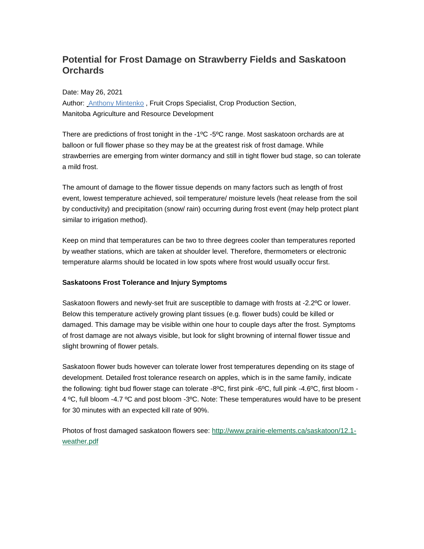# **Potential for Frost Damage on Strawberry Fields and Saskatoon Orchards**

Date: May 26, 2021

Author: **Anthony Mintenko, Fruit Crops Specialist, Crop Production Section,** Manitoba Agriculture and Resource Development

There are predictions of frost tonight in the -1ºC -5ºC range. Most saskatoon orchards are at balloon or full flower phase so they may be at the greatest risk of frost damage. While strawberries are emerging from winter dormancy and still in tight flower bud stage, so can tolerate a mild frost.

The amount of damage to the flower tissue depends on many factors such as length of frost event, lowest temperature achieved, soil temperature/ moisture levels (heat release from the soil by conductivity) and precipitation (snow/ rain) occurring during frost event (may help protect plant similar to irrigation method).

Keep on mind that temperatures can be two to three degrees cooler than temperatures reported by weather stations, which are taken at shoulder level. Therefore, thermometers or electronic temperature alarms should be located in low spots where frost would usually occur first.

# **Saskatoons Frost Tolerance and Injury Symptoms**

Saskatoon flowers and newly-set fruit are susceptible to damage with frosts at -2.2ºC or lower. Below this temperature actively growing plant tissues (e.g. flower buds) could be killed or damaged. This damage may be visible within one hour to couple days after the frost. Symptoms of frost damage are not always visible, but look for slight browning of internal flower tissue and slight browning of flower petals.

Saskatoon flower buds however can tolerate lower frost temperatures depending on its stage of development. Detailed frost tolerance research on apples, which is in the same family, indicate the following: tight bud flower stage can tolerate -8°C, first pink -6°C, full pink -4.6°C, first bloom -4 ºC, full bloom -4.7 ºC and post bloom -3ºC. Note: These temperatures would have to be present for 30 minutes with an expected kill rate of 90%.

Photos of frost damaged saskatoon flowers see: [http://www.prairie-elements.ca/saskatoon/12.1](http://www.prairie-elements.ca/saskatoon/12.1-weather.pdf) [weather.pdf](http://www.prairie-elements.ca/saskatoon/12.1-weather.pdf)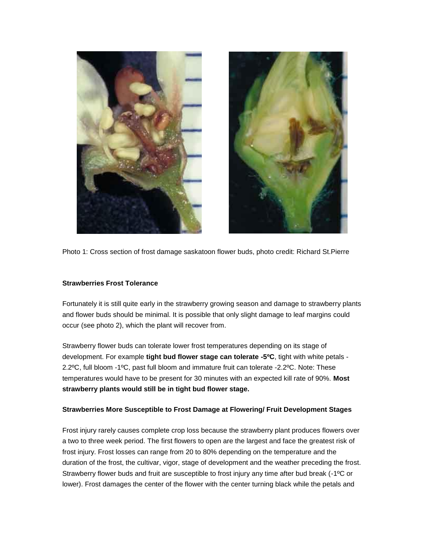



Photo 1: Cross section of frost damage saskatoon flower buds, photo credit: Richard St.Pierre

#### **Strawberries Frost Tolerance**

Fortunately it is still quite early in the strawberry growing season and damage to strawberry plants and flower buds should be minimal. It is possible that only slight damage to leaf margins could occur (see photo 2), which the plant will recover from.

Strawberry flower buds can tolerate lower frost temperatures depending on its stage of development. For example **tight bud flower stage can tolerate -5ºC**, tight with white petals - 2.2ºC, full bloom -1ºC, past full bloom and immature fruit can tolerate -2.2ºC. Note: These temperatures would have to be present for 30 minutes with an expected kill rate of 90%. **Most strawberry plants would still be in tight bud flower stage.**

# **Strawberries More Susceptible to Frost Damage at Flowering/ Fruit Development Stages**

Frost injury rarely causes complete crop loss because the strawberry plant produces flowers over a two to three week period. The first flowers to open are the largest and face the greatest risk of frost injury. Frost losses can range from 20 to 80% depending on the temperature and the duration of the frost, the cultivar, vigor, stage of development and the weather preceding the frost. Strawberry flower buds and fruit are susceptible to frost injury any time after bud break (-1ºC or lower). Frost damages the center of the flower with the center turning black while the petals and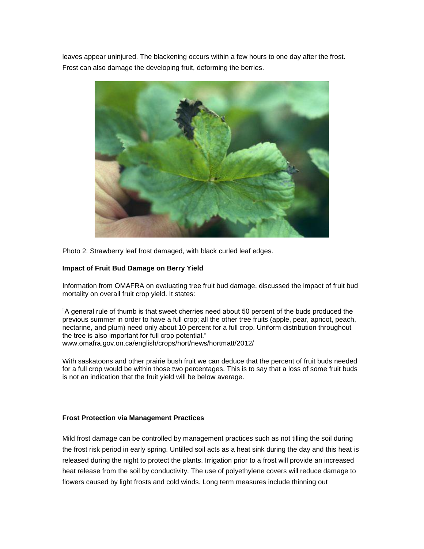leaves appear uninjured. The blackening occurs within a few hours to one day after the frost. Frost can also damage the developing fruit, deforming the berries.



Photo 2: Strawberry leaf frost damaged, with black curled leaf edges.

#### **Impact of Fruit Bud Damage on Berry Yield**

Information from OMAFRA on evaluating tree fruit bud damage, discussed the impact of fruit bud mortality on overall fruit crop yield. It states:

"A general rule of thumb is that sweet cherries need about 50 percent of the buds produced the previous summer in order to have a full crop; all the other tree fruits (apple, pear, apricot, peach, nectarine, and plum) need only about 10 percent for a full crop. Uniform distribution throughout the tree is also important for full crop potential." www.omafra.gov.on.ca/english/crops/hort/news/hortmatt/2012/

With saskatoons and other prairie bush fruit we can deduce that the percent of fruit buds needed for a full crop would be within those two percentages. This is to say that a loss of some fruit buds is not an indication that the fruit yield will be below average.

#### **Frost Protection via Management Practices**

Mild frost damage can be controlled by management practices such as not tilling the soil during the frost risk period in early spring. Untilled soil acts as a heat sink during the day and this heat is released during the night to protect the plants. Irrigation prior to a frost will provide an increased heat release from the soil by conductivity. The use of polyethylene covers will reduce damage to flowers caused by light frosts and cold winds. Long term measures include thinning out